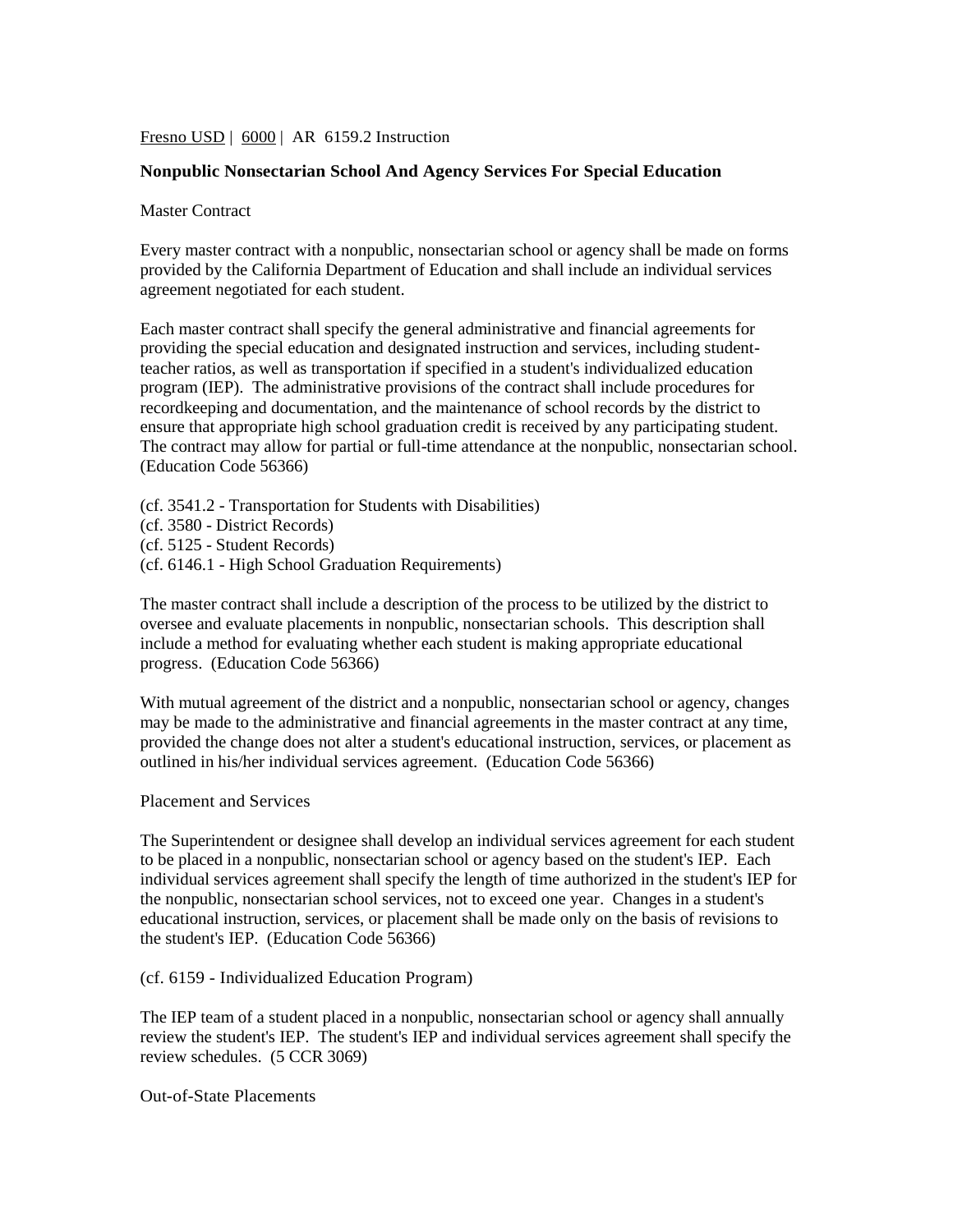Fresno USD | 6000 | AR 6159.2 Instruction

## **Nonpublic Nonsectarian School And Agency Services For Special Education**

Master Contract

Every master contract with a nonpublic, nonsectarian school or agency shall be made on forms provided by the California Department of Education and shall include an individual services agreement negotiated for each student.

Each master contract shall specify the general administrative and financial agreements for providing the special education and designated instruction and services, including studentteacher ratios, as well as transportation if specified in a student's individualized education program (IEP). The administrative provisions of the contract shall include procedures for recordkeeping and documentation, and the maintenance of school records by the district to ensure that appropriate high school graduation credit is received by any participating student. The contract may allow for partial or full-time attendance at the nonpublic, nonsectarian school. (Education Code 56366)

(cf. 3541.2 - Transportation for Students with Disabilities) (cf. 3580 - District Records) (cf. 5125 - Student Records) (cf. 6146.1 - High School Graduation Requirements)

The master contract shall include a description of the process to be utilized by the district to oversee and evaluate placements in nonpublic, nonsectarian schools. This description shall include a method for evaluating whether each student is making appropriate educational progress. (Education Code 56366)

With mutual agreement of the district and a nonpublic, nonsectarian school or agency, changes may be made to the administrative and financial agreements in the master contract at any time, provided the change does not alter a student's educational instruction, services, or placement as outlined in his/her individual services agreement. (Education Code 56366)

Placement and Services

The Superintendent or designee shall develop an individual services agreement for each student to be placed in a nonpublic, nonsectarian school or agency based on the student's IEP. Each individual services agreement shall specify the length of time authorized in the student's IEP for the nonpublic, nonsectarian school services, not to exceed one year. Changes in a student's educational instruction, services, or placement shall be made only on the basis of revisions to the student's IEP. (Education Code 56366)

(cf. 6159 - Individualized Education Program)

The IEP team of a student placed in a nonpublic, nonsectarian school or agency shall annually review the student's IEP. The student's IEP and individual services agreement shall specify the review schedules. (5 CCR 3069)

Out-of-State Placements